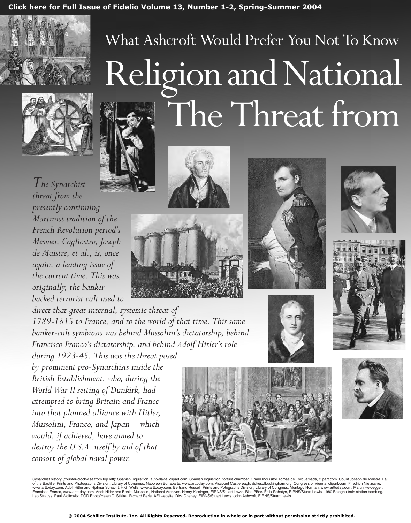**[Click here for Full Issue of Fidelio Volume 13, Number 1-2, Spring-Summer 2004](http://schillerinstitute.org/fidelio_archive/2004/fidv13n01-02-2004SpSu/index.html)**





# The Threat from What Ashcroft Would Prefer You Not To Know Religion and National



*direct that great internal, systemic threat of 1789-1815 to France, and to the world of that time. This same banker-cult symbiosis was behind Mussolini's dictatorship, behind Francisco Franco's dictatorship, and behind Adolf Hitler's role*

*during 1923-45. This was the threat posed by prominent pro-Synarchists inside the British Establishment, who, during the World War II setting of Dunkirk, had attempted to bring Britain and France into that planned alliance with Hitler, Mussolini, Franco, and Japan—which would, if achieved, have aimed to destroy the U.S.A. itself by aid of that consort of global naval power.* 















Synarchist history (counter-clockwise from top left): Spanish Inquisition, auto-da-fé, clipato.m. Spanish Inquisition, tortue chand Inquisitor Tómas de Torquemada, clipart.com. Count Joseph de Maistre. Fall of the Bastille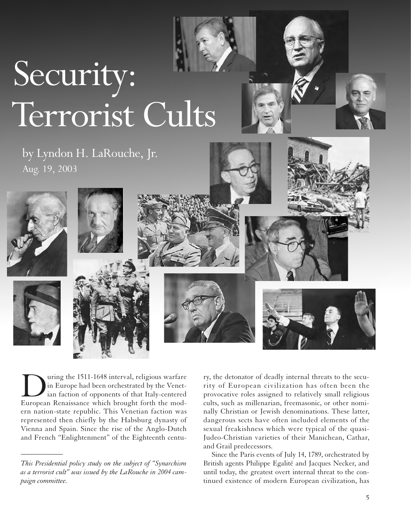# Terrorist Cults Security:



Ultimate 1511-1648 interval, religious warfare<br>in Europe had been orchestrated by the Venet-<br>European Renaissance which brought forth the modin Europe had been orchestrated by the Venetian faction of opponents of that Italy-centered European Renaissance which brought forth the modern nation-state republic. This Venetian faction was represented then chiefly by the Habsburg dynasty of Vienna and Spain. Since the rise of the Anglo-Dutch and French "Enlightenment" of the Eighteenth centu-

*\_\_\_\_\_\_\_\_\_\_\_\_*

ry, the detonator of deadly internal threats to the security of European civilization has often been the provocative roles assigned to relatively small religious cults, such as millenarian, freemasonic, or other nominally Christian or Jewish denominations. These latter, dangerous sects have often included elements of the sexual freakishness which were typical of the quasi-Judeo-Christian varieties of their Manichean, Cathar, and Grail predecessors.

Since the Paris events of July 14, 1789, orchestrated by British agents Philippe Egalité and Jacques Necker, and until today, the greatest overt internal threat to the continued existence of modern European civilization, has

*This Presidential policy study on the subject of "Synarchism as a terrorist cult" was issued by the LaRouche in 2004 campaign committee.*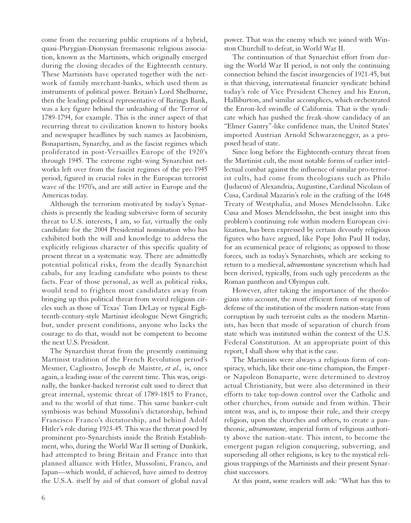come from the recurring public eruptions of a hybrid, quasi-Phrygian-Dionysian freemasonic religious association, known as the Martinists, which originally emerged during the closing decades of the Eighteenth century. These Martinists have operated together with the network of family merchant-banks, which used them as instruments of political power. Britain's Lord Shelburne, then the leading political representative of Barings Bank, was a key figure behind the unleashing of the Terror of 1789-1794, for example. This is the inner aspect of that recurring threat to civilization known to history books and newspaper headlines by such names as Jacobinism, Bonapartism, Synarchy, and as the fascist regimes which proliferated in post-Versailles Europe of the 1920's through 1945. The extreme right-wing Synarchist networks left over from the fascist regimes of the pre-1945 period, figured in crucial roles in the European terrorist wave of the 1970's, and are still active in Europe and the Americas today.

Although the terrorism motivated by today's Synarchists is presently the leading subversive form of security threat to U.S. interests, I am, so far, virtually the only candidate for the 2004 Presidential nomination who has exhibited both the will and knowledge to address the explicitly religious character of this specific quality of present threat in a systematic way. There are admittedly potential political risks, from the deadly Synarchist cabals, for any leading candidate who points to these facts. Fear of those personal, as well as political risks, would tend to frighten most candidates away from bringing up this political threat from weird religious circles such as those of Texas' Tom DeLay or typical Eighteenth-century-style Martinist ideologue Newt Gingrich; but, under present conditions, anyone who lacks the courage to do that, would not be competent to become the next U.S. President.

The Synarchist threat from the presently continuing Martinist tradition of the French Revolution period's Mesmer, Cagliostro, Joseph de Maistre, *et al.,* is, once again, a leading issue of the current time. This was, originally, the banker-backed terrorist cult used to direct that great internal, systemic threat of 1789-1815 to France, and to the world of that time. This same banker-cult symbiosis was behind Mussolini's dictatorship, behind Francisco Franco's dictatorship, and behind Adolf Hitler's role during 1923-45. This was the threat posed by prominent pro-Synarchists inside the British Establishment, who, during the World War II setting of Dunkirk, had attempted to bring Britain and France into that planned alliance with Hitler, Mussolini, Franco, and Japan—which would, if achieved, have aimed to destroy the U.S.A. itself by aid of that consort of global naval

power. That was the enemy which we joined with Winston Churchill to defeat, in World War II.

The continuation of that Synarchist effort from during the World War II period, is not only the continuing connection behind the fascist insurgencies of 1921-45, but is that thieving, international financier syndicate behind today's role of Vice President Cheney and his Enron, Halliburton, and similar accomplices, which orchestrated the Enron-led swindle of California. That is the syndicate which has pushed the freak-show candidacy of an "Elmer Gantry"-like confidence man, the United States' imported Austrian Arnold Schwarzenegger, as a proposed head of state.

Since long before the Eighteenth-century threat from the Martinist cult, the most notable forms of earlier intellectual combat against the influence of similar pro-terrorist cults, had come from theologians such as Philo (Judaeus) of Alexandria, Augustine, Cardinal Nicolaus of Cusa, Cardinal Mazarin's role in the crafting of the 1648 Treaty of Westphalia, and Moses Mendelssohn. Like Cusa and Moses Mendelssohn, the best insight into this problem's continuing role within modern European civilization, has been expressed by certain devoutly religious figures who have argued, like Pope John Paul II today, for an ecumenical peace of religions; as opposed to those forces, such as today's Synarchists, which are seeking to return to a medieval, *ultramontane* syncretism which had been derived, typically, from such ugly precedents as the Roman pantheon and Olympus cult.

However, after taking the importance of the theologians into account, the most efficient form of weapon of defense of the institution of the modern nation-state from corruption by such terrorist cults as the modern Martinists, has been that mode of separation of church from state which was instituted within the context of the U.S. Federal Constitution. At an appropriate point of this report, I shall show why that is the case.

The Martinists were always a religious form of conspiracy, which, like their one-time champion, the Emperor Napoleon Bonaparte, were determined to destroy actual Christianity, but were also determined in their efforts to take top-down control over the Catholic and other churches, from outside and from within. Their intent was, and is, to impose their rule, and their creepy religion, upon the churches and others, to create a pantheonic, *ultramontane,* imperial form of religious authority above the nation-state. This intent, to become the emergent pagan religion conquering, subverting, and superseding all other religions, is key to the mystical religious trappings of the Martinists and their present Synarchist successors.

At this point, some readers will ask: "What has this to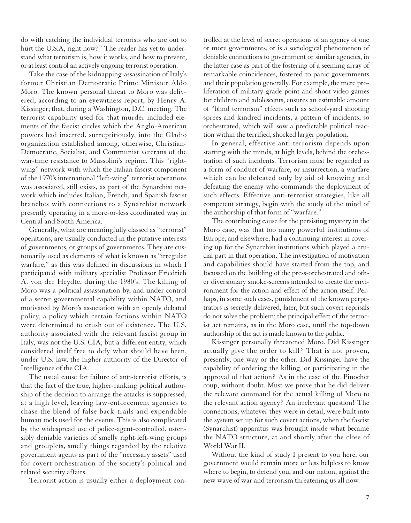do with catching the individual terrorists who are out to hurt the U.S.A, right now?" The reader has yet to understand what terrorism is, how it works, and how to prevent, or at least control an actively ongoing terrorist operation.

Take the case of the kidnapping-assassination of Italy's former Christian Democratic Prime Minister Aldo Moro. The known personal threat to Moro was delivered, according to an eyewitness report, by Henry A. Kissinger; that, during a Washington, D.C. meeting. The terrorist capability used for that murder included elements of the fascist circles which the Anglo-American powers had inserted, surreptitiously, into the Gladio organization established among, otherwise, Christian-Democratic, Socialist, and Communist veterans of the war-time resistance to Mussolini's regime. This "rightwing" network with which the Italian fascist component of the 1970's international "left-wing" terrorist operations was associated, still exists, as part of the Synarchist network which includes Italian, French, and Spanish fascist branches with connections to a Synarchist network presently operating in a more-or-less coordinated way in Central and South America.

Generally, what are meaningfully classed as "terrorist" operations, are usually conducted in the putative interests of governments, or groups of governments. They are customarily used as elements of what is known as "irregular warfare," as this was defined in discussions in which I participated with military specialist Professor Friedrich A. von der Heydte, during the 1980's. The killing of Moro was a political assassination by, and under control of a secret governmental capability within NATO, and motivated by Moro's association with an openly debated policy, a policy which certain factions within NATO were determined to crush out of existence. The U.S. authority associated with the relevant fascist group in Italy, was not the U.S. CIA, but a different entity, which considered itself free to defy what should have been, under U.S. law, the higher authority of the Director of Intelligence of the CIA.

The usual cause for failure of anti-terrorist efforts, is that the fact of the true, higher-ranking political authorship of the decision to arrange the attacks is suppressed, at a high level, leaving law-enforcement agencies to chase the blend of false back-trails and expendable human tools used for the events. This is also complicated by the widespread use of police-agent-controlled, ostensibly deniable varieties of smelly right-left-wing groups and grouplets, smelly things regarded by the relative government agents as part of the "necessary assets" used for covert orchestration of the society's political and related security affairs.

Terrorist action is usually either a deployment con-

trolled at the level of secret operations of an agency of one or more governments, or is a sociological phenomenon of deniable connections to government or similar agencies, in the latter case as part of the fostering of a seeming array of remarkable coincidences, fostered to panic governments and their population generally. For example, the mere proliferation of military-grade point-and-shoot video games for children and adolescents, ensures an estimable amount of "blind terrorism" effects such as school-yard shooting sprees and kindred incidents, a pattern of incidents, so orchestrated, which will sow a predictable political reaction within the terrified, shocked larger population.

In general, effective anti-terrorism depends upon starting with the minds, at high levels, behind the orchestration of such incidents. Terrorism must be regarded as a form of conduct of warfare, or insurrection, a warfare which can be defeated only by aid of knowing and defeating the enemy who commands the deployment of such effects. Effective anti-terrorist strategies, like all competent strategy, begin with the study of the mind of the authorship of that form of "warfare."

The contributing cause for the persisting mystery in the Moro case, was that too many powerful institutions of Europe, and elsewhere, had a continuing interest in covering up for the Synarchist institutions which played a crucial part in that operation. The investigation of motivation and capabilities should have started from the top, and focussed on the building of the press-orchestrated and other diversionary smoke-screens intended to create the environment for the action and effect of the action itself. Perhaps, in some such cases, punishment of the known perpetrators is secretly delivered, later, but such covert reprisals do not solve the problem; the principal effect of the terrorist act remains, as in the Moro case, until the top-down authorship of the act is made known to the public.

Kissinger personally threatened Moro. Did Kissinger actually give the order to kill? That is not proven, presently, one way or the other. Did Kissinger have the capability of ordering the killing, or participating in the approval of that action? As in the case of the Pinochet coup, without doubt. Must we prove that he did deliver the relevant command for the actual killing of Moro to the relevant action agency? An irrelevant question! The connections, whatever they were in detail, were built into the system set up for such covert actions, when the fascist (Synarchist) apparatus was brought inside what became the NATO structure, at and shortly after the close of World War II.

Without the kind of study I present to you here, our government would remain more or less helpless to know where to begin, to defend you, and our nation, against the new wave of war and terrorism threatening us all now.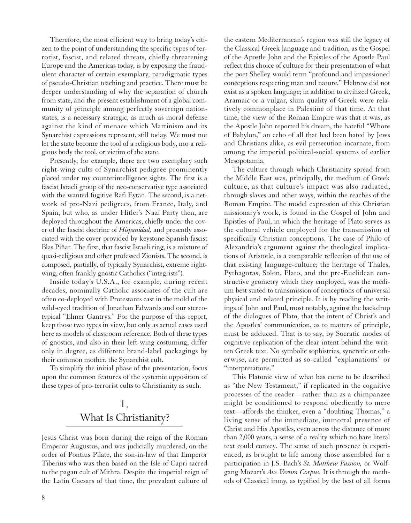Therefore, the most efficient way to bring today's citizen to the point of understanding the specific types of terrorist, fascist, and related threats, chiefly threatening Europe and the Americas today, is by exposing the fraudulent character of certain exemplary, paradigmatic types of pseudo-Christian teaching and practice. There must be deeper understanding of why the separation of church from state, and the present establishment of a global community of principle among perfectly sovereign nationstates, is a necessary strategic, as much as moral defense against the kind of menace which Martinism and its Synarchist expressions represent, still today. We must not let the state become the tool of a religious body, nor a religious body the tool, or victim of the state.

Presently, for example, there are two exemplary such right-wing cults of Synarchist pedigree prominently placed under my counterintelligence sights. The first is a fascist Israeli group of the neo-conservative type associated with the wanted fugitive Rafi Eytan. The second, is a network of pro-Nazi pedigrees, from France, Italy, and Spain, but who, as under Hitler's Nazi Party then, are deployed throughout the Americas, chiefly under the cover of the fascist doctrine of *Hispanidad,* and presently associated with the cover provided by keystone Spanish fascist Blas Piñar. The first, that fascist Israeli ring, is a mixture of quasi-religious and other professed Zionists. The second, is composed, partially, of typically Synarchist, extreme rightwing, often frankly gnostic Catholics ("integrists").

Inside today's U.S.A., for example, during recent decades, nominally Catholic associates of the cult are often co-deployed with Protestants cast in the mold of the wild-eyed tradition of Jonathan Edwards and our stereotypical "Elmer Gantrys." For the purpose of this report, keep those two types in view, but only as actual cases used here as models of classroom reference. Both of these types of gnostics, and also in their left-wing costuming, differ only in degree, as different brand-label packagings by their common mother, the Synarchist cult.

To simplify the initial phase of the presentation, focus upon the common features of the systemic opposition of these types of pro-terrorist cults to Christianity as such.

### 1. What Is Christianity?

Jesus Christ was born during the reign of the Roman Emperor Augustus, and was judicially murdered, on the order of Pontius Pilate, the son-in-law of that Emperor Tiberius who was then based on the Isle of Capri sacred to the pagan cult of Mithra. Despite the imperial reign of the Latin Caesars of that time, the prevalent culture of

the eastern Mediterranean's region was still the legacy of the Classical Greek language and tradition, as the Gospel of the Apostle John and the Epistles of the Apostle Paul reflect this choice of culture for their presentation of what the poet Shelley would term "profound and impassioned conceptions respecting man and nature." Hebrew did not exist as a spoken language; in addition to civilized Greek, Aramaic or a vulgar, slum quality of Greek were relatively commonplace in Palestine of that time. At that time, the view of the Roman Empire was that it was, as the Apostle John reported his dream, the hateful "Whore of Babylon," an echo of all that had been hated by Jews and Christians alike, as evil persecution incarnate, from among the imperial political-social systems of earlier Mesopotamia.

The culture through which Christianity spread from the Middle East was, principally, the medium of Greek culture, as that culture's impact was also radiated, through slaves and other ways, within the reaches of the Roman Empire. The model expression of this Christian missionary's work, is found in the Gospel of John and Epistles of Paul, in which the heritage of Plato serves as the cultural vehicle employed for the transmission of specifically Christian conceptions. The case of Philo of Alexandria's argument against the theological implications of Aristotle, is a comparable reflection of the use of that existing language-culture; the heritage of Thales, Pythagoras, Solon, Plato, and the pre-Euclidean constructive geometry which they employed, was the medium best suited to transmission of conceptions of universal physical and related principle. It is by reading the writings of John and Paul, most notably, against the backdrop of the dialogues of Plato, that the intent of Christ's and the Apostles' communication, as to matters of principle, must be adduced. That is to say, by Socratic modes of cognitive replication of the clear intent behind the written Greek text. No symbolic sophistries, syncretic or otherwise, are permitted as so-called "explanations" or "interpretations."

This Platonic view of what has come to be described as "the New Testament," if replicated in the cognitive processes of the reader—rather than as a chimpanzee might be conditioned to respond obediently to mere text—affords the thinker, even a "doubting Thomas," a living sense of the immediate, immortal presence of Christ and His Apostles, even across the distance of more than 2,000 years, a sense of a reality which no bare literal text could convey. The sense of such presence is experienced, as brought to life among those assembled for a participation in J.S. Bach's *St. Matthew Passion,* or Wolfgang Mozart's *Ave Verum Corpus.* It is through the methods of Classical irony, as typified by the best of all forms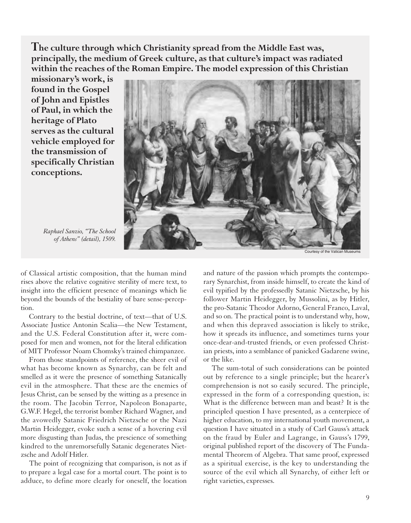**The culture through which Christianity spread from the Middle East was, principally, the medium of Greek culture, as that culture's impact was radiated within the reaches of the Roman Empire. The model expression of this Christian**

**missionary's work, is found in the Gospel of John and Epistles of Paul, in which the heritage of Plato serves as the cultural vehicle employed for the transmission of specifically Christian conceptions.**



*Raphael Sanzio, "The School of Athens" (detail), 1509.*

Courtesy of the Vatican Museums

of Classical artistic composition, that the human mind rises above the relative cognitive sterility of mere text, to insight into the efficient presence of meanings which lie beyond the bounds of the bestiality of bare sense-perception.

Contrary to the bestial doctrine, of text—that of U.S. Associate Justice Antonin Scalia—the New Testament, and the U.S. Federal Constitution after it, were composed for men and women, not for the literal edification of MIT Professor Noam Chomsky's trained chimpanzee.

From those standpoints of reference, the sheer evil of what has become known as Synarchy, can be felt and smelled as it were the presence of something Satanically evil in the atmosphere. That these are the enemies of Jesus Christ, can be sensed by the witting as a presence in the room. The Jacobin Terror, Napoleon Bonaparte, G.W.F. Hegel, the terrorist bomber Richard Wagner, and the avowedly Satanic Friedrich Nietzsche or the Nazi Martin Heidegger, evoke such a sense of a hovering evil more disgusting than Judas, the prescience of something kindred to the unremorsefully Satanic degenerates Nietzsche and Adolf Hitler.

The point of recognizing that comparison, is not as if to prepare a legal case for a mortal court. The point is to adduce, to define more clearly for oneself, the location

and nature of the passion which prompts the contemporary Synarchist, from inside himself, to create the kind of evil typified by the professedly Satanic Nietzsche, by his follower Martin Heidegger, by Mussolini, as by Hitler, the pro-Satanic Theodor Adorno, General Franco, Laval, and so on. The practical point is to understand why, how, and when this depraved association is likely to strike, how it spreads its influence, and sometimes turns your once-dear-and-trusted friends, or even professed Christian priests, into a semblance of panicked Gadarene swine, or the like.

The sum-total of such considerations can be pointed out by reference to a single principle; but the hearer's comprehension is not so easily secured. The principle, expressed in the form of a corresponding question, is: What is the difference between man and beast? It is the principled question I have presented, as a centerpiece of higher education, to my international youth movement, a question I have situated in a study of Carl Gauss's attack on the fraud by Euler and Lagrange, in Gauss's 1799, original published report of the discovery of The Fundamental Theorem of Algebra. That same proof, expressed as a spiritual exercise, is the key to understanding the source of the evil which all Synarchy, of either left or right varieties, expresses.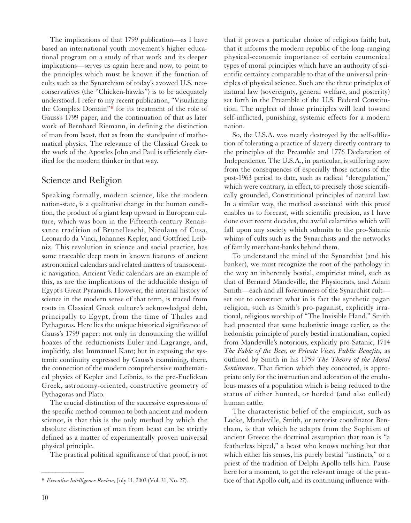The implications of that 1799 publication—as I have based an international youth movement's higher educational program on a study of that work and its deeper implications—serves us again here and now, to point to the principles which must be known if the function of cults such as the Synarchism of today's avowed U.S. neoconservatives (the "Chicken-hawks") is to be adequately understood. I refer to my recent publication, "Visualizing the Complex Domain"\* for its treatment of the role of Gauss's 1799 paper, and the continuation of that as later work of Bernhard Riemann, in defining the distinction of man from beast, that as from the standpoint of mathematical physics. The relevance of the Classical Greek to the work of the Apostles John and Paul is efficiently clarified for the modern thinker in that way.

#### Science and Religion

Speaking formally, modern science, like the modern nation-state, is a qualitative change in the human condition, the product of a giant leap upward in European culture, which was born in the Fifteenth-century Renaissance tradition of Brunelleschi, Nicolaus of Cusa, Leonardo da Vinci, Johannes Kepler, and Gottfried Leibniz. This revolution in science and social practice, has some traceable deep roots in known features of ancient astronomical calendars and related matters of transoceanic navigation. Ancient Vedic calendars are an example of this, as are the implications of the adducible design of Egypt's Great Pyramids. However, the internal history of science in the modern sense of that term, is traced from roots in Classical Greek culture's acknowledged debt, principally to Egypt, from the time of Thales and Pythagoras. Here lies the unique historical significance of Gauss's 1799 paper: not only in denouncing the willful hoaxes of the reductionists Euler and Lagrange, and, implicitly, also Immanuel Kant; but in exposing the systemic continuity expressed by Gauss's examining, there, the connection of the modern comprehensive mathematical physics of Kepler and Leibniz, to the pre-Euclidean Greek, astronomy-oriented, constructive geometry of Pythagoras and Plato.

The crucial distinction of the successive expressions of the specific method common to both ancient and modern science, is that this is the only method by which the absolute distinction of man from beast can be strictly defined as a matter of experimentally proven universal physical principle.

The practical political significance of that proof, is not

that it proves a particular choice of religious faith; but, that it informs the modern republic of the long-ranging physical-economic importance of certain ecumenical types of moral principles which have an authority of scientific certainty comparable to that of the universal principles of physical science. Such are the three principles of natural law (sovereignty, general welfare, and posterity) set forth in the Preamble of the U.S. Federal Constitution. The neglect of those principles will lead toward self-inflicted, punishing, systemic effects for a modern nation.

So, the U.S.A. was nearly destroyed by the self-affliction of tolerating a practice of slavery directly contrary to the principles of the Preamble and 1776 Declaration of Independence. The U.S.A., in particular, is suffering now from the consequences of especially those actions of the post-1963 period to date, such as radical "deregulation," which were contrary, in effect, to precisely those scientifically grounded, Constitutional principles of natural law. In a similar way, the method associated with this proof enables us to forecast, with scientific precision, as I have done over recent decades, the awful calamities which will fall upon any society which submits to the pro-Satanic whims of cults such as the Synarchists and the networks of family merchant-banks behind them.

To understand the mind of the Synarchist (and his banker), we must recognize the root of the pathology in the way an inherently bestial, empiricist mind, such as that of Bernard Mandeville, the Physiocrats, and Adam Smith—each and all forerunners of the Synarchist cult set out to construct what in is fact the synthetic pagan religion, such as Smith's pro-paganist, explicitly irrational, religious worship of "The Invisible Hand." Smith had presented that same hedonistic image earlier, as the hedonistic principle of purely bestial irrationalism, copied from Mandeville's notorious, explicitly pro-Satanic, 1714 *The Fable of the Bees, or Private Vices, Public Benefits,* as outlined by Smith in his 1759 *The Theory of the Moral Sentiments.* That fiction which they concocted, is appropriate only for the instruction and adoration of the credulous masses of a population which is being reduced to the status of either hunted, or herded (and also culled) human cattle.

The characteristic belief of the empiricist, such as Locke, Mandeville, Smith, or terrorist coordinator Bentham, is that which he adapts from the Sophism of ancient Greece: the doctrinal assumption that man is "a featherless biped," a beast who knows nothing but that which either his senses, his purely bestial "instincts," or a priest of the tradition of Delphi Apollo tells him. Pause here for a moment, to get the relevant image of the practice of that Apollo cult, and its continuing influence with-

*\_\_\_\_\_\_\_\_\_\_\_\_*

<sup>\*</sup> *Executive Intelligence Review,* July 11, 2003 (Vol. 31, No. 27).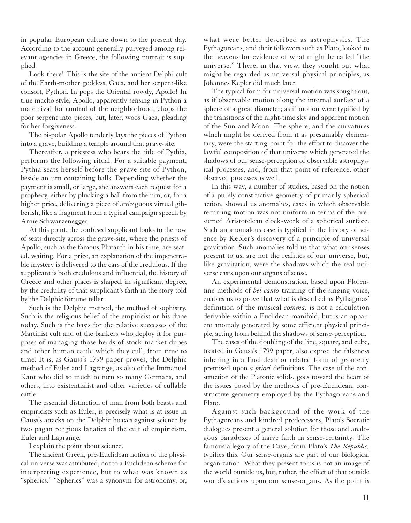in popular European culture down to the present day. According to the account generally purveyed among relevant agencies in Greece, the following portrait is supplied.

Look there! This is the site of the ancient Delphi cult of the Earth-mother goddess, Gaea, and her serpent-like consort, Python. In pops the Oriental rowdy, Apollo! In true macho style, Apollo, apparently sensing in Python a male rival for control of the neighborhood, chops the poor serpent into pieces, but, later, woos Gaea, pleading for her forgiveness.

The bi-polar Apollo tenderly lays the pieces of Python into a grave, building a temple around that grave-site.

Thereafter, a priestess who bears the title of Pythia, performs the following ritual. For a suitable payment, Pythia seats herself before the grave-site of Python, beside an urn containing balls. Depending whether the payment is small, or large, she answers each request for a prophecy, either by plucking a ball from the urn, or, for a higher price, delivering a piece of ambiguous virtual gibberish, like a fragment from a typical campaign speech by Arnie Schwarzenegger.

At this point, the confused supplicant looks to the row of seats directly across the grave-site, where the priests of Apollo, such as the famous Plutarch in his time, are seated, waiting. For a price, an explanation of the impenetrable mystery is delivered to the ears of the credulous. If the supplicant is both credulous and influential, the history of Greece and other places is shaped, in significant degree, by the credulity of that supplicant's faith in the story told by the Delphic fortune-teller.

Such is the Delphic method, the method of sophistry. Such is the religious belief of the empiricist or his dupe today. Such is the basis for the relative successes of the Martinist cult and of the bankers who deploy it for purposes of managing those herds of stock-market dupes and other human cattle which they cull, from time to time. It is, as Gauss's 1799 paper proves, the Delphic method of Euler and Lagrange, as also of the Immanuel Kant who did so much to turn so many Germans, and others, into existentialist and other varieties of cullable cattle.

The essential distinction of man from both beasts and empiricists such as Euler, is precisely what is at issue in Gauss's attacks on the Delphic hoaxes against science by two pagan religious fanatics of the cult of empiricism, Euler and Lagrange.

I explain the point about science.

The ancient Greek, pre-Euclidean notion of the physical universe was attributed, not to a Euclidean scheme for interpreting experience, but to what was known as "spherics." "Spherics" was a synonym for astronomy, or,

what were better described as astrophysics. The Pythagoreans, and their followers such as Plato, looked to the heavens for evidence of what might be called "the universe." There, in that view, they sought out what might be regarded as universal physical principles, as Johannes Kepler did much later.

The typical form for universal motion was sought out, as if observable motion along the internal surface of a sphere of a great diameter; as if motion were typified by the transitions of the night-time sky and apparent motion of the Sun and Moon. The sphere, and the curvatures which might be derived from it as presumably elementary, were the starting-point for the effort to discover the lawful composition of that universe which generated the shadows of our sense-perception of observable astrophysical processes, and, from that point of reference, other observed processes as well.

In this way, a number of studies, based on the notion of a purely constructive geometry of primarily spherical action, showed us anomalies, cases in which observable recurring motion was not uniform in terms of the presumed Aristotelean clock-work of a spherical surface. Such an anomalous case is typified in the history of science by Kepler's discovery of a principle of universal gravitation. Such anomalies told us that what our senses present to us, are not the realities of our universe, but, like gravitation, were the shadows which the real universe casts upon our organs of sense.

An experimental demonstration, based upon Florentine methods of *bel canto* training of the singing voice, enables us to prove that what is described as Pythagoras' definition of the musical *comma,* is not a calculation derivable within a Euclidean manifold, but is an apparent anomaly generated by some efficient physical principle, acting from behind the shadows of sense-perception.

The cases of the doubling of the line, square, and cube, treated in Gauss's 1799 paper, also expose the falseness inhering in a Euclidean or related form of geometry premised upon *a priori* definitions. The case of the construction of the Platonic solids, goes toward the heart of the issues posed by the methods of pre-Euclidean, constructive geometry employed by the Pythagoreans and Plato.

Against such background of the work of the Pythagoreans and kindred predecessors, Plato's Socratic dialogues present a general solution for those and analogous paradoxes of naive faith in sense-certainty. The famous allegory of the Cave, from Plato's *The Republic,* typifies this. Our sense-organs are part of our biological organization. What they present to us is not an image of the world outside us, but, rather, the effect of that outside world's actions upon our sense-organs. As the point is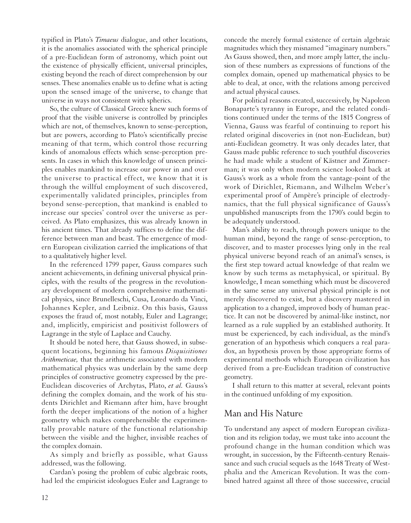typified in Plato's *Timaeus* dialogue, and other locations, it is the anomalies associated with the spherical principle of a pre-Euclidean form of astronomy, which point out the existence of physically efficient, universal principles, existing beyond the reach of direct comprehension by our senses. These anomalies enable us to define what is acting upon the sensed image of the universe, to change that universe in ways not consistent with spherics.

So, the culture of Classical Greece knew such forms of proof that the visible universe is controlled by principles which are not, of themselves, known to sense-perception, but are powers, according to Plato's scientifically precise meaning of that term, which control those recurring kinds of anomalous effects which sense-perception presents. In cases in which this knowledge of unseen principles enables mankind to increase our power in and over the universe to practical effect, we know that it is through the willful employment of such discovered, experimentally validated principles, principles from beyond sense-perception, that mankind is enabled to increase our species' control over the universe as perceived. As Plato emphasizes, this was already known in his ancient times. That already suffices to define the difference between man and beast. The emergence of modern European civilization carried the implications of that to a qualitatively higher level.

In the referenced 1799 paper, Gauss compares such ancient achievements, in defining universal physical principles, with the results of the progress in the revolutionary development of modern comprehensive mathematical physics, since Brunelleschi, Cusa, Leonardo da Vinci, Johannes Kepler, and Leibniz. On this basis, Gauss exposes the fraud of, most notably, Euler and Lagrange; and, implicitly, empiricist and positivist followers of Lagrange in the style of Laplace and Cauchy.

It should be noted here, that Gauss showed, in subsequent locations, beginning his famous *Disquisitiones Arithmeticae,* that the arithmetic associated with modern mathematical physics was underlain by the same deep principles of constructive geometry expressed by the pre-Euclidean discoveries of Archytas, Plato, *et al.* Gauss's defining the complex domain, and the work of his students Dirichlet and Riemann after him, have brought forth the deeper implications of the notion of a higher geometry which makes comprehensible the experimentally provable nature of the functional relationship between the visible and the higher, invisible reaches of the complex domain.

As simply and briefly as possible, what Gauss addressed, was the following.

Cardan's posing the problem of cubic algebraic roots, had led the empiricist ideologues Euler and Lagrange to concede the merely formal existence of certain algebraic magnitudes which they misnamed "imaginary numbers." As Gauss showed, then, and more amply latter, the inclusion of these numbers as expressions of functions of the complex domain, opened up mathematical physics to be able to deal, at once, with the relations among perceived and actual physical causes.

For political reasons created, successively, by Napoleon Bonaparte's tyranny in Europe, and the related conditions continued under the terms of the 1815 Congress of Vienna, Gauss was fearful of continuing to report his related original discoveries in (not non-Euclidean, but) anti-Euclidean geometry. It was only decades later, that Gauss made public reference to such youthful discoveries he had made while a student of Kästner and Zimmerman; it was only when modern science looked back at Gauss's work as a whole from the vantage-point of the work of Dirichlet, Riemann, and Wilhelm Weber's experimental proof of Ampère's principle of electrodynamics, that the full physical significance of Gauss's unpublished manuscripts from the 1790's could begin to be adequately understood.

Man's ability to reach, through powers unique to the human mind, beyond the range of sense-perception, to discover, and to master processes lying only in the real physical universe beyond reach of an animal's senses, is the first step toward actual knowledge of that realm we know by such terms as metaphysical, or spiritual. By knowledge, I mean something which must be discovered in the same sense any universal physical principle is not merely discovered to exist, but a discovery mastered in application to a changed, improved body of human practice. It can not be discovered by animal-like instinct, nor learned as a rule supplied by an established authority. It must be experienced, by each individual, as the mind's generation of an hypothesis which conquers a real paradox, an hypothesis proven by those appropriate forms of experimental methods which European civilization has derived from a pre-Euclidean tradition of constructive geometry.

I shall return to this matter at several, relevant points in the continued unfolding of my exposition.

#### Man and His Nature

To understand any aspect of modern European civilization and its religion today, we must take into account the profound change in the human condition which was wrought, in succession, by the Fifteenth-century Renaissance and such crucial sequels as the 1648 Treaty of Westphalia and the American Revolution. It was the combined hatred against all three of those successive, crucial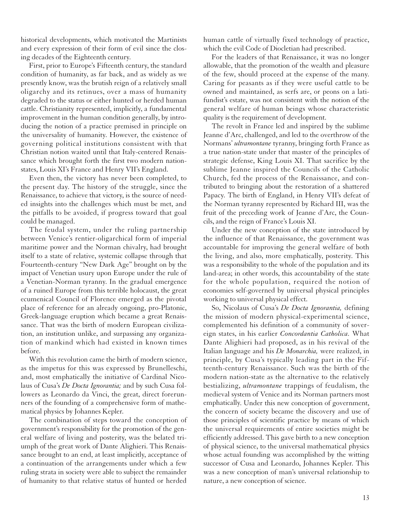historical developments, which motivated the Martinists and every expression of their form of evil since the closing decades of the Eighteenth century.

First, prior to Europe's Fifteenth century, the standard condition of humanity, as far back, and as widely as we presently know, was the brutish reign of a relatively small oligarchy and its retinues, over a mass of humanity degraded to the status or either hunted or herded human cattle. Christianity represented, implicitly, a fundamental improvement in the human condition generally, by introducing the notion of a practice premised in principle on the universality of humanity. However, the existence of governing political institutions consistent with that Christian notion waited until that Italy-centered Renaissance which brought forth the first two modern nationstates, Louis XI's France and Henry VII's England.

Even then, the victory has never been completed, to the present day. The history of the struggle, since the Renaissance, to achieve that victory, is the source of needed insights into the challenges which must be met, and the pitfalls to be avoided, if progress toward that goal could be managed.

The feudal system, under the ruling partnership between Venice's rentier-oligarchical form of imperial maritime power and the Norman chivalry, had brought itself to a state of relative, systemic collapse through that Fourteenth-century "New Dark Age" brought on by the impact of Venetian usury upon Europe under the rule of a Venetian-Norman tyranny. In the gradual emergence of a ruined Europe from this terrible holocaust, the great ecumenical Council of Florence emerged as the pivotal place of reference for an already ongoing, pro-Platonic, Greek-language eruption which became a great Renaissance. That was the birth of modern European civilization, an institution unlike, and surpassing any organization of mankind which had existed in known times before.

With this revolution came the birth of modern science, as the impetus for this was expressed by Brunelleschi, and, most emphatically the initiative of Cardinal Nicolaus of Cusa's *De Docta Ignorantia;* and by such Cusa followers as Leonardo da Vinci, the great, direct forerunners of the founding of a comprehensive form of mathematical physics by Johannes Kepler.

The combination of steps toward the conception of government's responsibility for the promotion of the general welfare of living and posterity, was the belated triumph of the great work of Dante Alighieri. This Renaissance brought to an end, at least implicitly, acceptance of a continuation of the arrangements under which a few ruling strata in society were able to subject the remainder of humanity to that relative status of hunted or herded

human cattle of virtually fixed technology of practice, which the evil Code of Diocletian had prescribed.

For the leaders of that Renaissance, it was no longer allowable, that the promotion of the wealth and pleasure of the few, should proceed at the expense of the many. Caring for peasants as if they were useful cattle to be owned and maintained, as serfs are, or peons on a latifundist's estate, was not consistent with the notion of the general welfare of human beings whose characteristic quality is the requirement of development.

The revolt in France led and inspired by the sublime Jeanne d'Arc, challenged, and led to the overthrow of the Normans' *ultramontane* tyranny, bringing forth France as a true nation-state under that master of the principles of strategic defense, King Louis XI. That sacrifice by the sublime Jeanne inspired the Councils of the Catholic Church, fed the process of the Renaissance, and contributed to bringing about the restoration of a shattered Papacy. The birth of England, in Henry VII's defeat of the Norman tyranny represented by Richard III, was the fruit of the preceding work of Jeanne d'Arc, the Councils, and the reign of France's Louis XI.

Under the new conception of the state introduced by the influence of that Renaissance, the government was accountable for improving the general welfare of both the living, and also, more emphatically, posterity. This was a responsibility to the whole of the population and its land-area; in other words, this accountability of the state for the whole population, required the notion of economies self-governed by universal physical principles working to universal physical effect.

So, Nicolaus of Cusa's *De Docta Ignorantia,* defining the mission of modern physical-experimental science, complemented his definition of a community of sovereign states, in his earlier *Concordantia Catholica.* What Dante Alighieri had proposed, as in his revival of the Italian language and his *De Monarchia,* were realized, in principle, by Cusa's typically leading part in the Fifteenth-century Renaissance. Such was the birth of the modern nation-state as the alternative to the relatively bestializing, *ultramontane* trappings of feudalism, the medieval system of Venice and its Norman partners most emphatically. Under this new conception of government, the concern of society became the discovery and use of those principles of scientific practice by means of which the universal requirements of entire societies might be efficiently addressed. This gave birth to a new conception of physical science, to the universal mathematical physics whose actual founding was accomplished by the witting successor of Cusa and Leonardo, Johannes Kepler. This was a new conception of man's universal relationship to nature, a new conception of science.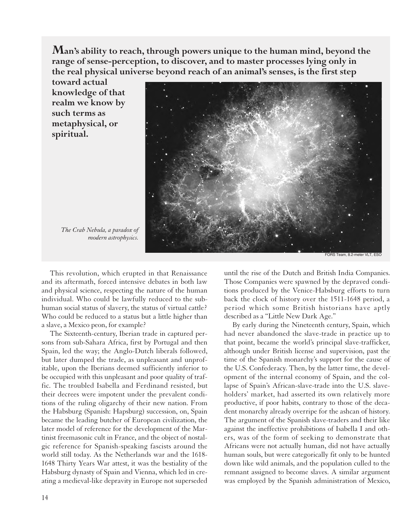**Man's ability to reach, through powers unique to the human mind, beyond the range of sense-perception, to discover, and to master processes lying only in the real physical universe beyond reach of an animal's senses, is the first step**

**toward actual knowledge of that realm we know by such terms as metaphysical, or spiritual.**



*The Crab Nebula, a paradox of modern astrophysics.*

This revolution, which erupted in that Renaissance and its aftermath, forced intensive debates in both law and physical science, respecting the nature of the human individual. Who could be lawfully reduced to the subhuman social status of slavery, the status of virtual cattle? Who could be reduced to a status but a little higher than a slave, a Mexico peon, for example?

The Sixteenth-century, Iberian trade in captured persons from sub-Sahara Africa, first by Portugal and then Spain, led the way; the Anglo-Dutch liberals followed, but later dumped the trade, as unpleasant and unprofitable, upon the Iberians deemed sufficiently inferior to be occupied with this unpleasant and poor quality of traffic. The troubled Isabella and Ferdinand resisted, but their decrees were impotent under the prevalent conditions of the ruling oligarchy of their new nation. From the Habsburg (Spanish: Hapsburg) succession, on, Spain became the leading butcher of European civilization, the later model of reference for the development of the Martinist freemasonic cult in France, and the object of nostalgic reference for Spanish-speaking fascists around the world still today. As the Netherlands war and the 1618- 1648 Thirty Years War attest, it was the bestiality of the Habsburg dynasty of Spain and Vienna, which led in creating a medieval-like depravity in Europe not superseded until the rise of the Dutch and British India Companies. Those Companies were spawned by the depraved conditions produced by the Venice-Habsburg efforts to turn back the clock of history over the 1511-1648 period, a period which some British historians have aptly described as a "Little New Dark Age."

By early during the Nineteenth century, Spain, which had never abandoned the slave-trade in practice up to that point, became the world's principal slave-trafficker, although under British license and supervision, past the time of the Spanish monarchy's support for the cause of the U.S. Confederacy. Then, by the latter time, the development of the internal economy of Spain, and the collapse of Spain's African-slave-trade into the U.S. slaveholders' market, had asserted its own relatively more productive, if poor habits, contrary to those of the decadent monarchy already overripe for the ashcan of history. The argument of the Spanish slave-traders and their like against the ineffective prohibitions of Isabella I and others, was of the form of seeking to demonstrate that Africans were not actually human, did not have actually human souls, but were categorically fit only to be hunted down like wild animals, and the population culled to the remnant assigned to become slaves. A similar argument was employed by the Spanish administration of Mexico,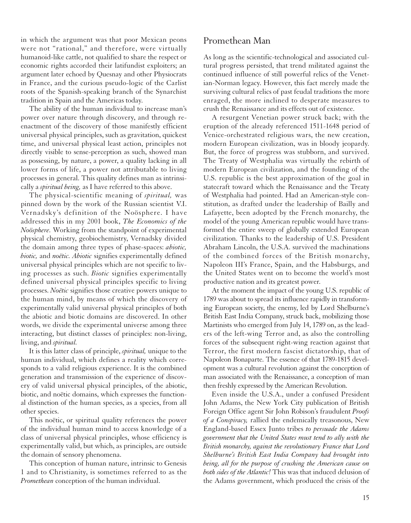in which the argument was that poor Mexican peons were not "rational," and therefore, were virtually humanoid-like cattle, not qualified to share the respect or economic rights accorded their latifundist exploiters; an argument later echoed by Quesnay and other Physiocrats in France, and the curious pseudo-logic of the Carlist roots of the Spanish-speaking branch of the Synarchist tradition in Spain and the Americas today.

The ability of the human individual to increase man's power over nature through discovery, and through reenactment of the discovery of those manifestly efficient universal physical principles, such as gravitation, quickest time, and universal physical least action, principles not directly visible to sense-perception as such, showed man as possessing, by nature, a power, a quality lacking in all lower forms of life, a power not attributable to living processes in general. This quality defines man as intrinsically a *spiritual being,* as I have referred to this above.

The physical-scientific meaning of *spiritual,* was pinned down by the work of the Russian scientist V.I. Vernadsky's definition of the Noösphere. I have addressed this in my 2001 book, *The Economics of the Noösphere.* Working from the standpoint of experimental physical chemistry, geobiochemistry, Vernadsky divided the domain among three types of phase-spaces: *abiotic, biotic,* and *noëtic. Abiotic* signifies experimentally defined universal physical principles which are not specific to living processes as such. *Biotic* signifies experimentally defined universal physical principles specific to living processes. *Noëtic* signifies those creative powers unique to the human mind, by means of which the discovery of experimentally valid universal physical principles of both the abiotic and biotic domains are discovered. In other words, we divide the experimental universe among three interacting, but distinct classes of principles: non-living, living, and *spiritual.*

It is this latter class of principle, *spiritual,* unique to the human individual, which defines a reality which corresponds to a valid religious experience. It is the combined generation and transmission of the experience of discovery of valid universal physical principles, of the abiotic, biotic, and noëtic domains, which expresses the functional distinction of the human species, as a species, from all other species.

This noëtic, or spiritual quality references the power of the individual human mind to access knowledge of a class of universal physical principles, whose efficiency is experimentally valid, but which, as principles, are outside the domain of sensory phenomena.

This conception of human nature, intrinsic to Genesis 1 and to Christianity, is sometimes referred to as the *Promethean* conception of the human individual.

#### Promethean Man

As long as the scientific-technological and associated cultural progress persisted, that trend militated against the continued influence of still powerful relics of the Venetian-Norman legacy. However, this fact merely made the surviving cultural relics of past feudal traditions the more enraged, the more inclined to desperate measures to crush the Renaissance and its effects out of existence.

A resurgent Venetian power struck back; with the eruption of the already referenced 1511-1648 period of Venice-orchestrated religious wars, the new creation, modern European civilization, was in bloody jeopardy. But, the force of progress was stubborn, and survived. The Treaty of Westphalia was virtually the rebirth of modern European civilization, and the founding of the U.S. republic is the best approximation of the goal in statecraft toward which the Renaissance and the Treaty of Westphalia had pointed. Had an American-style constitution, as drafted under the leadership of Bailly and Lafayette, been adopted by the French monarchy, the model of the young American republic would have transformed the entire sweep of globally extended European civilization. Thanks to the leadership of U.S. President Abraham Lincoln, the U.S.A. survived the machinations of the combined forces of the British monarchy, Napoleon III's France, Spain, and the Habsburgs, and the United States went on to become the world's most productive nation and its greatest power.

At the moment the impact of the young U.S. republic of 1789 was about to spread its influence rapidly in transforming European society, the enemy, led by Lord Shelburne's British East India Company, struck back, mobilizing those Martinists who emerged from July 14, 1789 on, as the leaders of the left-wing Terror and, as also the controlling forces of the subsequent right-wing reaction against that Terror, the first modern fascist dictatorship, that of Napoleon Bonaparte. The essence of that 1789-1815 development was a cultural revolution against the conception of man associated with the Renaissance, a conception of man then freshly expressed by the American Revolution.

Even inside the U.S.A., under a confused President John Adams, the New York City publication of British Foreign Office agent Sir John Robison's fraudulent *Proofs of a Conspiracy,* rallied the endemically treasonous, New England-based Essex Junto tribes *to persuade the Adams government that the United States must tend to ally with the British monarchy, against the revolutionary France that Lord Shelburne's British East India Company had brought into being, all for the purpose of crushing the American cause on both sides of the Atlantic!* This was that induced delusion of the Adams government, which produced the crisis of the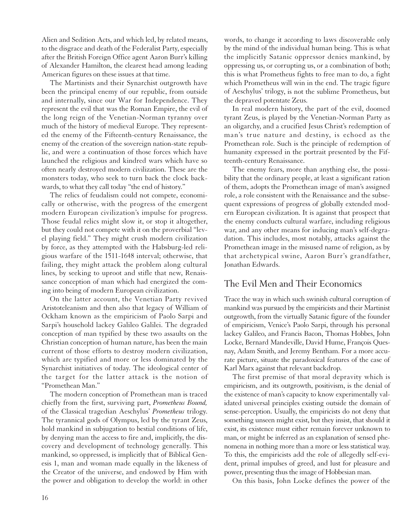Alien and Sedition Acts, and which led, by related means, to the disgrace and death of the Federalist Party, especially after the British Foreign Office agent Aaron Burr's killing of Alexander Hamilton, the clearest head among leading American figures on these issues at that time.

The Martinists and their Synarchist outgrowth have been the principal enemy of our republic, from outside and internally, since our War for Independence. They represent the evil that was the Roman Empire, the evil of the long reign of the Venetian-Norman tyranny over much of the history of medieval Europe. They represented the enemy of the Fifteenth-century Renaissance, the enemy of the creation of the sovereign nation-state republic, and were a continuation of those forces which have launched the religious and kindred wars which have so often nearly destroyed modern civilization. These are the monsters today, who seek to turn back the clock backwards, to what they call today "the end of history."

The relics of feudalism could not compete, economically or otherwise, with the progress of the emergent modern European civilization's impulse for progress. Those feudal relics might slow it, or stop it altogether, but they could not compete with it on the proverbial "level playing field." They might crush modern civilization by force, as they attempted with the Habsburg-led religious warfare of the 1511-1648 interval; otherwise, that failing, they might attack the problem along cultural lines, by seeking to uproot and stifle that new, Renaissance conception of man which had energized the coming into being of modern European civilization.

On the latter account, the Venetian Party revived Aristoteleanism and then also that legacy of William of Ockham known as the empiricism of Paolo Sarpi and Sarpi's household lackey Galileo Galilei. The degraded conception of man typified by these two assaults on the Christian conception of human nature, has been the main current of those efforts to destroy modern civilization, which are typified and more or less dominated by the Synarchist initiatives of today. The ideological center of the target for the latter attack is the notion of "Promethean Man."

The modern conception of Promethean man is traced chiefly from the first, surviving part, *Prometheus Bound,* of the Classical tragedian Aeschylus' *Prometheus* trilogy. The tyrannical gods of Olympus, led by the tyrant Zeus, hold mankind in subjugation to bestial conditions of life, by denying man the access to fire and, implicitly, the discovery and development of technology generally. This mankind, so oppressed, is implicitly that of Biblical Genesis 1, man and woman made equally in the likeness of the Creator of the universe, and endowed by Him with the power and obligation to develop the world: in other

words, to change it according to laws discoverable only by the mind of the individual human being. This is what the implicitly Satanic oppressor denies mankind, by oppressing us, or corrupting us, or a combination of both; this is what Prometheus fights to free man to do, a fight which Prometheus will win in the end. The tragic figure of Aeschylus' trilogy, is not the sublime Prometheus, but the depraved potentate Zeus.

In real modern history, the part of the evil, doomed tyrant Zeus, is played by the Venetian-Norman Party as an oligarchy, and a crucified Jesus Christ's redemption of man's true nature and destiny, is echoed as the Promethean role. Such is the principle of redemption of humanity expressed in the portrait presented by the Fifteenth-century Renaissance.

The enemy fears, more than anything else, the possibility that the ordinary people, at least a significant ration of them, adopts the Promethean image of man's assigned role, a role consistent with the Renaissance and the subsequent expressions of progress of globally extended modern European civilization. It is against that prospect that the enemy conducts cultural warfare, including religious war, and any other means for inducing man's self-degradation. This includes, most notably, attacks against the Promethean image in the misused name of religion, as by that archetypical swine, Aaron Burr's grandfather, Jonathan Edwards.

#### The Evil Men and Their Economics

Trace the way in which such swinish cultural corruption of mankind was pursued by the empiricists and their Martinist outgrowth, from the virtually Satanic figure of the founder of empiricism, Venice's Paolo Sarpi, through his personal lackey Galileo, and Francis Bacon, Thomas Hobbes, John Locke, Bernard Mandeville, David Hume, François Quesnay, Adam Smith, and Jeremy Bentham. For a more accurate picture, situate the paradoxical features of the case of Karl Marx against that relevant backdrop.

The first premise of that moral depravity which is empiricism, and its outgrowth, positivism, is the denial of the existence of man's capacity to know experimentally validated universal principles existing outside the domain of sense-perception. Usually, the empiricists do not deny that something unseen might exist, but they insist, that should it exist, its existence must either remain forever unknown to man, or might be inferred as an explanation of sensed phenomena in nothing more than a more or less statistical way. To this, the empiricists add the role of allegedly self-evident, primal impulses of greed, and lust for pleasure and power, presenting thus the image of Hobbesian man.

On this basis, John Locke defines the power of the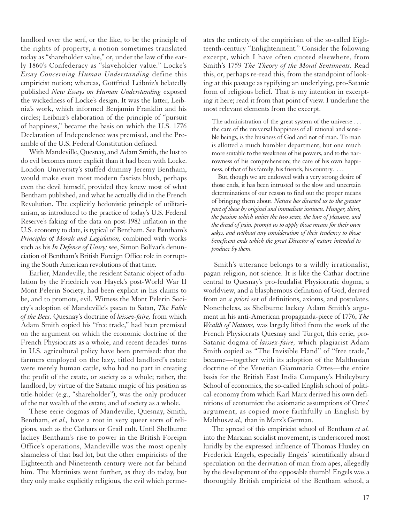landlord over the serf, or the like, to be the principle of the rights of property, a notion sometimes translated today as "shareholder value," or, under the law of the early 1860's Confederacy as "slaveholder value." Locke's *Essay Concerning Human Understanding* define this empiricist notion; whereas, Gottfried Leibniz's belatedly published *New Essays on Human Understanding* exposed the wickedness of Locke's design. It was the latter, Leibniz's work, which informed Benjamin Franklin and his circles; Leibniz's elaboration of the principle of "pursuit of happiness," became the basis on which the U.S. 1776 Declaration of Independence was premised, and the Preamble of the U.S. Federal Constitution defined.

With Mandeville, Quesnay, and Adam Smith, the lust to do evil becomes more explicit than it had been with Locke. London University's stuffed dummy Jeremy Bentham, would make even most modern fascists blush, perhaps even the devil himself, provided they knew most of what Bentham published, and what he actually did in the French Revolution. The explicitly hedonistic principle of utilitarianism, as introduced to the practice of today's U.S. Federal Reserve's faking of the data on post-1982 inflation in the U.S. economy to date, is typical of Bentham. See Bentham's *Principles of Morals and Legislation,* combined with works such as his *In Defence of Usury;* see, Simon Bolívar's denunciation of Bentham's British Foreign Office role in corrupting the South American revolutions of that time.

Earlier, Mandeville, the resident Satanic object of adulation by the Friedrich von Hayek's post-World War II Mont Pelerin Society, had been explicit in his claims to be, and to promote, evil. Witness the Mont Pelerin Society's adoption of Mandeville's paean to Satan, *The Fable of the Bees.* Quesnay's doctrine of *laissez-faire,* from which Adam Smith copied his "free trade," had been premised on the argument on which the economic doctrine of the French Physiocrats as a whole, and recent decades' turns in U.S. agricultural policy have been premised: that the farmers employed on the lazy, titled landlord's estate were merely human cattle, who had no part in creating the profit of the estate, or society as a whole; rather, the landlord, by virtue of the Satanic magic of his position as title-holder (e.g., "shareholder"), was the only producer of the net wealth of the estate, and of society as a whole.

These eerie dogmas of Mandeville, Quesnay, Smith, Bentham, *et al.,* have a root in very queer sorts of religions, such as the Cathars or Grail cult. Until Shelburne lackey Bentham's rise to power in the British Foreign Office's operations, Mandeville was the most openly shameless of that bad lot, but the other empiricists of the Eighteenth and Nineteenth century were not far behind him. The Martinists went further, as they do today, but they only make explicitly religious, the evil which permeates the entirety of the empiricism of the so-called Eighteenth-century "Enlightenment." Consider the following excerpt, which I have often quoted elsewhere, from Smith's 1759 *The Theory of the Moral Sentiments.* Read this, or, perhaps re-read this, from the standpoint of looking at this passage as typifying an underlying, pro-Satanic form of religious belief. That is my intention in excerpting it here; read it from that point of view. I underline the most relevant elements from the excerpt.

The administration of the great system of the universe . . . the care of the universal happiness of all rational and sensible beings, is the business of God and not of man. To man is allotted a much humbler department, but one much more suitable to the weakness of his powers, and to the narrowness of his comprehension; the care of his own happiness, of that of his family, his friends, his country. . . .

But, though we are endowed with a very strong desire of those ends, it has been intrusted to the slow and uncertain determinations of our reason to find out the proper means of bringing them about. *Nature has directed us to the greater part of these by original and immediate instincts. Hunger, thirst, the passion which unites the two sexes, the love of pleasure, and the dread of pain, prompt us to apply those means for their own sakes, and without any consideration of their tendency to those beneficent ends which the great Director of nature intended to produce by them.*

Smith's utterance belongs to a wildly irrationalist, pagan religion, not science. It is like the Cathar doctrine central to Quesnay's pro-feudalist Physiocratic dogma, a worldview, and a blasphemous definition of God, derived from an *a priori* set of definitions, axioms, and postulates. Nonetheless, as Shelburne lackey Adam Smith's argument in his anti-American propaganda-piece of 1776, *The Wealth of Nations,* was largely lifted from the work of the French Physiocrats Quesnay and Turgot, this eerie, pro-Satanic dogma of *laissez-faire,* which plagiarist Adam Smith copied as "The Invisible Hand" of "free trade," became—together with its adoption of the Malthusian doctrine of the Venetian Giammaria Ortes—the entire basis for the British East India Company's Haileybury School of economics, the so-called English school of political-economy from which Karl Marx derived his own definitions of economics: the axiomatic assumptions of Ortes' argument, as copied more faithfully in English by Malthus *et al.,* than in Marx's German.

The spread of this empiricist school of Bentham *et al.* into the Marxian socialist movement, is underscored most luridly by the expressed influence of Thomas Huxley on Frederick Engels, especially Engels' scientifically absurd speculation on the derivation of man from apes, allegedly by the development of the opposable thumb! Engels was a thoroughly British empiricist of the Bentham school, a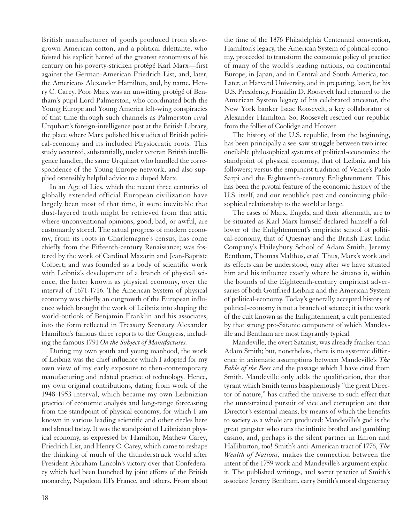British manufacturer of goods produced from slavegrown American cotton, and a political dilettante, who foisted his explicit hatred of the greatest economists of his century on his poverty-stricken protégé Karl Marx—first against the German-American Friedrich List, and, later, the Americans Alexander Hamilton, and, by name, Henry C. Carey. Poor Marx was an unwitting protégé of Bentham's pupil Lord Palmerston, who coordinated both the Young Europe and Young America left-wing conspiracies of that time through such channels as Palmerston rival Urquhart's foreign-intelligence post at the British Library, the place where Marx polished his studies of British political-economy and its included Physiocratic roots. This study occurred, substantially, under veteran British intelligence handler, the same Urquhart who handled the correspondence of the Young Europe network, and also supplied ostensibly helpful advice to a duped Marx.

In an Age of Lies, which the recent three centuries of globally extended official European civilization have largely been most of that time, it were inevitable that dust-layered truth might be retrieved from that attic where unconventional opinions, good, bad, or awful, are customarily stored. The actual progress of modern economy, from its roots in Charlemagne's census, has come chiefly from the Fifteenth-century Renaissance; was fostered by the work of Cardinal Mazarin and Jean-Baptiste Colbert; and was founded as a body of scientific work with Leibniz's development of a branch of physical science, the latter known as physical economy, over the interval of 1671-1716. The American System of physical economy was chiefly an outgrowth of the European influence which brought the work of Leibniz into shaping the world-outlook of Benjamin Franklin and his associates, into the form reflected in Treasury Secretary Alexander Hamilton's famous three reports to the Congress, including the famous 1791 *On the Subject of Manufactures.*

During my own youth and young manhood, the work of Leibniz was the chief influence which I adopted for my own view of my early exposure to then-contemporary manufacturing and related practice of technology. Hence, my own original contributions, dating from work of the 1948-1953 interval, which became my own Leibnizian practice of economic analysis and long-range forecasting from the standpoint of physical economy, for which I am known in various leading scientific and other circles here and abroad today. It was the standpoint of Leibnizian physical economy, as expressed by Hamilton, Mathew Carey, Friedrich List, and Henry C. Carey, which came to reshape the thinking of much of the thunderstruck world after President Abraham Lincoln's victory over that Confederacy which had been launched by joint efforts of the British monarchy, Napoleon III's France, and others. From about the time of the 1876 Philadelphia Centennial convention, Hamilton's legacy, the American System of political-economy, proceeded to transform the economic policy of practice of many of the world's leading nations, on continental Europe, in Japan, and in Central and South America, too. Later, at Harvard University, and in preparing, later, for his U.S. Presidency, Franklin D. Roosevelt had returned to the American System legacy of his celebrated ancestor, the New York banker Isaac Roosevelt, a key collaborator of Alexander Hamilton. So, Roosevelt rescued our republic from the follies of Coolidge and Hoover.

The history of the U.S. republic, from the beginning, has been principally a see-saw struggle between two irreconcilable philosophical systems of political-economics: the standpoint of physical economy, that of Leibniz and his followers; versus the empiricist tradition of Venice's Paolo Sarpi and the Eighteenth-century Enlightenment. This has been the pivotal feature of the economic history of the U.S. itself, and our republic's past and continuing philosophical relationship to the world at large.

The cases of Marx, Engels, and their aftermath, are to be situated as Karl Marx himself declared himself a follower of the Enlightenment's empiricist school of political-economy, that of Quesnay and the British East India Company's Haileybury School of Adam Smith, Jeremy Bentham, Thomas Malthus, *et al.* Thus, Marx's work and its effects can be understood, only after we have situated him and his influence exactly where he situates it, within the bounds of the Eighteenth-century empiricist adversaries of both Gottfried Leibniz and the American System of political-economy. Today's generally accepted history of political-economy is not a branch of science; it is the work of the cult known as the Enlightenment, a cult permeated by that strong pro-Satanic component of which Mandeville and Bentham are most flagrantly typical.

Mandeville, the overt Satanist, was already franker than Adam Smith; but, nonetheless, there is no systemic difference in axiomatic assumptions between Mandeville's *The Fable of the Bees* and the passage which I have cited from Smith. Mandeville only adds the qualification, that that tyrant which Smith terms blasphemously "the great Director of nature," has crafted the universe to such effect that the unrestrained pursuit of vice and corruption are that Director's essential means, by means of which the benefits to society as a whole are produced: Mandeville's god is the great gangster who runs the infinite brothel and gambling casino, and, perhaps is the silent partner in Enron and Halliburton, too! Smith's anti-American tract of 1776, *The Wealth of Nations,* makes the connection between the intent of the 1759 work and Mandeville's argument explicit. The published writings, and secret practice of Smith's associate Jeremy Bentham, carry Smith's moral degeneracy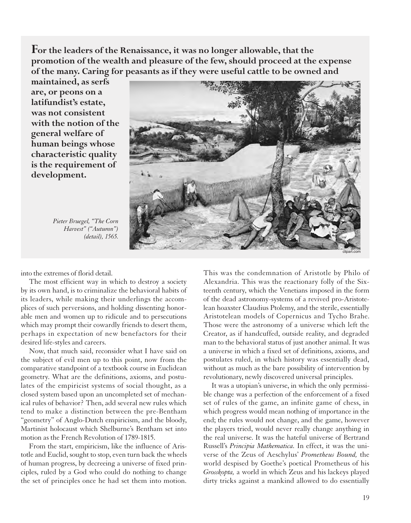**For the leaders of the Renaissance, it was no longer allowable, that the promotion of the wealth and pleasure of the few, should proceed at the expense of the many. Caring for peasants as if they were useful cattle to be owned and**

**maintained, as serfs are, or peons on a latifundist's estate, was not consistent with the notion of the general welfare of human beings whose characteristic quality is the requirement of development.**

*Pieter Bruegel, "The Corn Harvest" ("Autumn") (detail), 1565.*



into the extremes of florid detail.

The most efficient way in which to destroy a society by its own hand, is to criminalize the behavioral habits of its leaders, while making their underlings the accomplices of such perversions, and holding dissenting honorable men and women up to ridicule and to persecutions which may prompt their cowardly friends to desert them, perhaps in expectation of new benefactors for their desired life-styles and careers.

Now, that much said, reconsider what I have said on the subject of evil men up to this point, now from the comparative standpoint of a textbook course in Euclidean geometry. What are the definitions, axioms, and postulates of the empiricist systems of social thought, as a closed system based upon an uncompleted set of mechanical rules of behavior? Then, add several new rules which tend to make a distinction between the pre-Bentham "geometry" of Anglo-Dutch empiricism, and the bloody, Martinist holocaust which Shelburne's Bentham set into motion as the French Revolution of 1789-1815.

From the start, empiricism, like the influence of Aristotle and Euclid, sought to stop, even turn back the wheels of human progress, by decreeing a universe of fixed principles, ruled by a God who could do nothing to change the set of principles once he had set them into motion.

This was the condemnation of Aristotle by Philo of Alexandria. This was the reactionary folly of the Sixteenth century, which the Venetians imposed in the form of the dead astronomy-systems of a revived pro-Aristotelean hoaxster Claudius Ptolemy, and the sterile, essentially Aristotelean models of Copernicus and Tycho Brahe. Those were the astronomy of a universe which left the Creator, as if handcuffed, outside reality, and degraded man to the behavioral status of just another animal. It was a universe in which a fixed set of definitions, axioms, and postulates ruled, in which history was essentially dead, without as much as the bare possibility of intervention by revolutionary, newly discovered universal principles.

It was a utopian's universe, in which the only permissible change was a perfection of the enforcement of a fixed set of rules of the game, an infinite game of chess, in which progress would mean nothing of importance in the end; the rules would not change, and the game, however the players tried, would never really change anything in the real universe. It was the hateful universe of Bertrand Russell's *Principia Mathematica.* In effect, it was the universe of the Zeus of Aeschylus' *Prometheus Bound,* the world despised by Goethe's poetical Prometheus of his *Grosskopta,* a world in which Zeus and his lackeys played dirty tricks against a mankind allowed to do essentially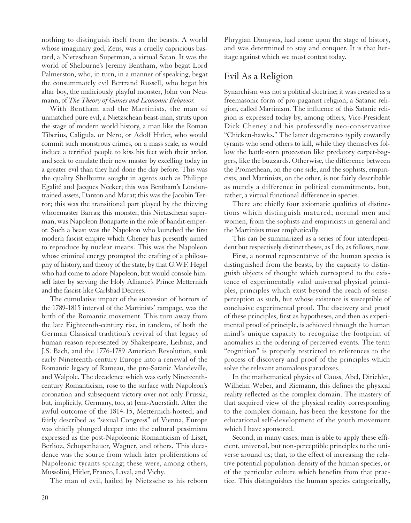nothing to distinguish itself from the beasts. A world whose imaginary god, Zeus, was a cruelly capricious bastard, a Nietzschean Superman, a virtual Satan. It was the world of Shelburne's Jeremy Bentham, who begat Lord Palmerston, who, in turn, in a manner of speaking, begat the consummately evil Bertrand Russell, who begat his altar boy, the maliciously playful monster, John von Neumann, of *The Theory of Games and Economic Behavior.*

With Bentham and the Martinists, the man of unmatched pure evil, a Nietzschean beast-man, struts upon the stage of modern world history, a man like the Roman Tiberius, Caligula, or Nero, or Adolf Hitler, who would commit such monstrous crimes, on a mass scale, as would induce a terrified people to kiss his feet with their ardor, and seek to emulate their new master by excelling today in a greater evil than they had done the day before. This was the quality Shelburne sought in agents such as Philippe Egalité and Jacques Necker; this was Bentham's Londontrained assets, Danton and Marat; this was the Jacobin Terror; this was the transitional part played by the thieving whoremaster Barras; this monster, this Nietzschean superman, was Napoleon Bonaparte in the role of bandit-emperor. Such a beast was the Napoleon who launched the first modern fascist empire which Cheney has presently aimed to reproduce by nuclear means. This was the Napoleon whose criminal energy prompted the crafting of a philosophy of history, and theory of the state, by that G.W.F. Hegel who had come to adore Napoleon, but would console himself later by serving the Holy Alliance's Prince Metternich and the fascist-like Carlsbad Decrees.

The cumulative impact of the succession of horrors of the 1789-1815 interval of the Martinists' rampage, was the birth of the Romantic movement. This turn away from the late Eighteenth-century rise, in tandem, of both the German Classical tradition's revival of that legacy of human reason represented by Shakespeare, Leibniz, and J.S. Bach, and the 1776-1789 American Revolution, sank early Nineteenth-century Europe into a renewal of the Romantic legacy of Rameau, the pro-Satanic Mandeville, and Walpole. The decadence which was early Nineteenthcentury Romanticism, rose to the surface with Napoleon's coronation and subsequent victory over not only Prussia, but, implicitly, Germany, too, at Jena-Auerstädt. After the awful outcome of the 1814-15, Metternich-hosted, and fairly described as "sexual Congress" of Vienna, Europe was chiefly plunged deeper into the cultural pessimism expressed as the post-Napoleonic Romanticism of Liszt, Berlioz, Schopenhauer, Wagner, and others. This decadence was the source from which later proliferations of Napoleonic tyrants sprang; these were, among others, Mussolini, Hitler, Franco, Laval, and Vichy.

The man of evil, hailed by Nietzsche as his reborn

Phrygian Dionysus, had come upon the stage of history, and was determined to stay and conquer. It is that heritage against which we must contest today.

#### Evil As a Religion

Synarchism was not a political doctrine; it was created as a freemasonic form of pro-paganist religion, a Satanic religion, called Martinism. The influence of this Satanic religion is expressed today by, among others, Vice-President Dick Cheney and his professedly neo-conservative "Chicken-hawks." The latter degenerates typify cowardly tyrants who send others to kill, while they themselves follow the battle-torn procession like predatory carpet-baggers, like the buzzards. Otherwise, the difference between the Promethean, on the one side, and the sophists, empiricists, and Martinists, on the other, is not fairly describable as merely a difference in political commitments, but, rather, a virtual functional difference in species.

There are chiefly four axiomatic qualities of distinctions which distinguish matured, normal men and women, from the sophists and empiricists in general and the Martinists most emphatically.

This can be summarized as a series of four interdependent but respectively distinct theses, as I do, as follows, now.

First, a normal representative of the human species is distinguished from the beasts, by the capacity to distinguish objects of thought which correspond to the existence of experimentally valid universal physical principles, principles which exist beyond the reach of senseperception as such, but whose existence is susceptible of conclusive experimental proof. The discovery and proof of these principles, first as hypotheses, and then as experimental proof of principle, is achieved through the human mind's unique capacity to recognize the footprint of anomalies in the ordering of perceived events. The term "cognition" is properly restricted to references to the process of discovery and proof of the principles which solve the relevant anomalous paradoxes.

In the mathematical physics of Gauss, Abel, Dirichlet, Wilhelm Weber, and Riemann, this defines the physical reality reflected as the complex domain. The mastery of that acquired view of the physical reality corresponding to the complex domain, has been the keystone for the educational self-development of the youth movement which I have sponsored.

Second, in many cases, man is able to apply these efficient, universal, but non-perceptible principles to the universe around us; that, to the effect of increasing the relative potential population-density of the human species, or of the particular culture which benefits from that practice. This distinguishes the human species categorically,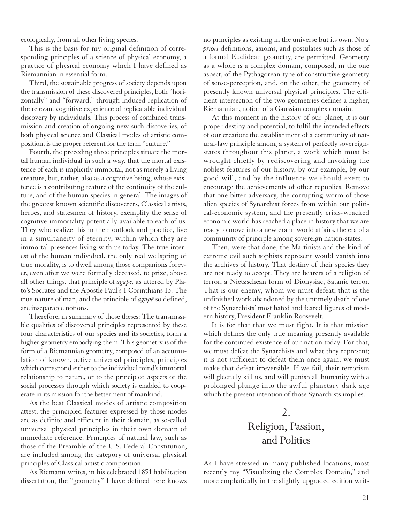ecologically, from all other living species.

This is the basis for my original definition of corresponding principles of a science of physical economy, a practice of physical economy which I have defined as Riemannian in essential form.

Third, the sustainable progress of society depends upon the transmission of these discovered principles, both "horizontally" and "forward," through induced replication of the relevant cognitive experience of replicatable individual discovery by individuals. This process of combined transmission and creation of ongoing new such discoveries, of both physical science and Classical modes of artistic composition, is the proper referent for the term "culture."

Fourth, the preceding three principles situate the mortal human individual in such a way, that the mortal existence of each is implicitly immortal, not as merely a living creature, but, rather, also as a cognitive being, whose existence is a contributing feature of the continuity of the culture, and of the human species in general. The images of the greatest known scientific discoverers, Classical artists, heroes, and statesmen of history, exemplify the sense of cognitive immortality potentially available to each of us. They who realize this in their outlook and practice, live in a simultaneity of eternity, within which they are immortal presences living with us today. The true interest of the human individual, the only real wellspring of true morality, is to dwell among those companions forever, even after we were formally deceased, to prize, above all other things, that principle of *agap*<sup> $\bar{e}$ </sup>, as uttered by Plato's Socrates and the Apostle Paul's 1 Corinthians 13. The true nature of man, and the principle of *agap* $\bar{e}$  so defined, are inseparable notions.

Therefore, in summary of those theses: The transmissible qualities of discovered principles represented by these four characteristics of our species and its societies, form a higher geometry embodying them. This geometry is of the form of a Riemannian geometry, composed of an accumulation of known, active universal principles, principles which correspond either to the individual mind's immortal relationship to nature, or to the principled aspects of the social processes through which society is enabled to cooperate in its mission for the betterment of mankind.

As the best Classical modes of artistic composition attest, the principled features expressed by those modes are as definite and efficient in their domain, as so-called universal physical principles in their own domain of immediate reference. Principles of natural law, such as those of the Preamble of the U.S. Federal Constitution, are included among the category of universal physical principles of Classical artistic composition.

As Riemann writes, in his celebrated 1854 habilitation dissertation, the "geometry" I have defined here knows no principles as existing in the universe but its own. No *a priori* definitions, axioms, and postulates such as those of a formal Euclidean geometry, are permitted. Geometry as a whole is a complex domain, composed, in the one aspect, of the Pythagorean type of constructive geometry of sense-perception, and, on the other, the geometry of presently known universal physical principles. The efficient intersection of the two geometries defines a higher, Riemannian, notion of a Gaussian complex domain.

At this moment in the history of our planet, it is our proper destiny and potential, to fulfil the intended effects of our creation: the establishment of a community of natural-law principle among a system of perfectly sovereignstates throughout this planet, a work which must be wrought chiefly by rediscovering and invoking the noblest features of our history, by our example, by our good will, and by the influence we should exert to encourage the achievements of other republics. Remove that one bitter adversary, the corrupting worm of those alien species of Synarchist forces from within our political-economic system, and the presently crisis-wracked economic world has reached a place in history that we are ready to move into a new era in world affairs, the era of a community of principle among sovereign nation-states.

Then, were that done, the Martinists and the kind of extreme evil such sophists represent would vanish into the archives of history. That destiny of their species they are not ready to accept. They are bearers of a religion of terror, a Nietzschean form of Dionysiac, Satanic terror. That is our enemy, whom we must defeat; that is the unfinished work abandoned by the untimely death of one of the Synarchists' most hated and feared figures of modern history, President Franklin Roosevelt.

It is for that that we must fight. It is that mission which defines the only true meaning presently available for the continued existence of our nation today. For that, we must defeat the Synarchists and what they represent; it is not sufficient to defeat them once again; we must make that defeat irreversible. If we fail, their terrorism will gleefully kill us, and will punish all humanity with a prolonged plunge into the awful planetary dark age which the present intention of those Synarchists implies.

## 2. Religion, Passion, and Politics

As I have stressed in many published locations, most recently my "Visualizing the Complex Domain," and more emphatically in the slightly upgraded edition writ-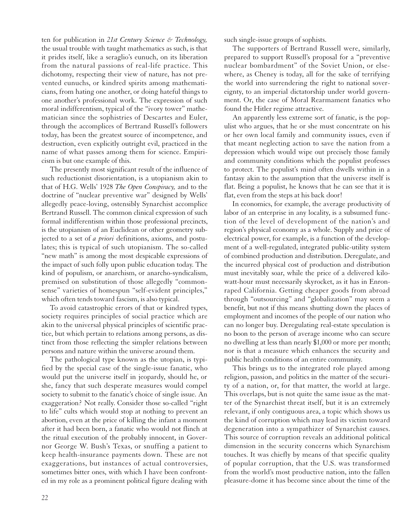ten for publication in *21st Century Science & Technology,* the usual trouble with taught mathematics as such, is that it prides itself, like a seraglio's eunuch, on its liberation from the natural passions of real-life practice. This dichotomy, respecting their view of nature, has not prevented eunuchs, or kindred spirits among mathematicians, from hating one another, or doing hateful things to one another's professional work. The expression of such moral indifferentism, typical of the "ivory tower" mathematician since the sophistries of Descartes and Euler, through the accomplices of Bertrand Russell's followers today, has been the greatest source of incompetence, and destruction, even explicitly outright evil, practiced in the name of what passes among them for science. Empiricism is but one example of this.

The presently most significant result of the influence of such reductionist disorientation, is a utopianism akin to that of H.G. Wells' 1928 *The Open Conspiracy,* and to the doctrine of "nuclear preventive war" designed by Wells' allegedly peace-loving, ostensibly Synarchist accomplice Bertrand Russell. The common clinical expression of such formal indifferentism within those professional precincts, is the utopianism of an Euclidean or other geometry subjected to a set of *a priori* definitions, axioms, and postulates; this is typical of such utopianism. The so-called "new math" is among the most despicable expressions of the impact of such folly upon public education today. The kind of populism, or anarchism, or anarcho-syndicalism, premised on substitution of those allegedly "commonsense" varieties of homespun "self-evident principles," which often tends toward fascism, is also typical.

To avoid catastrophic errors of that or kindred types, society requires principles of social practice which are akin to the universal physical principles of scientific practice, but which pertain to relations among persons, as distinct from those reflecting the simpler relations between persons and nature within the universe around them.

The pathological type known as the utopian, is typified by the special case of the single-issue fanatic, who would put the universe itself in jeopardy, should he, or she, fancy that such desperate measures would compel society to submit to the fanatic's choice of single issue. An exaggeration? Not really. Consider those so-called "right to life" cults which would stop at nothing to prevent an abortion, even at the price of killing the infant a moment after it had been born, a fanatic who would not flinch at the ritual execution of the probably innocent, in Governor George W. Bush's Texas, or snuffing a patient to keep health-insurance payments down. These are not exaggerations, but instances of actual controversies, sometimes bitter ones, with which I have been confronted in my role as a prominent political figure dealing with such single-issue groups of sophists.

The supporters of Bertrand Russell were, similarly, prepared to support Russell's proposal for a "preventive nuclear bombardment" of the Soviet Union, or elsewhere, as Cheney is today, all for the sake of terrifying the world into surrendering the right to national sovereignty, to an imperial dictatorship under world government. Or, the case of Moral Rearmament fanatics who found the Hitler regime attractive.

An apparently less extreme sort of fanatic, is the populist who argues, that he or she must concentrate on his or her own local family and community issues, even if that meant neglecting action to save the nation from a depression which would wipe out precisely those family and community conditions which the populist professes to protect. The populist's mind often dwells within in a fantasy akin to the assumption that the universe itself is flat. Being a populist, he knows that he can see that it is flat, even from the steps at his back door!

In economics, for example, the average productivity of labor of an enterprise in any locality, is a subsumed function of the level of development of the nation's and region's physical economy as a whole. Supply and price of electrical power, for example, is a function of the development of a well-regulated, integrated public-utility system of combined production and distribution. Deregulate, and the incurred physical cost of production and distribution must inevitably soar, while the price of a delivered kilowatt-hour must necessarily skyrocket, as it has in Enronraped California. Getting cheaper goods from abroad through "outsourcing" and "globalization" may seem a benefit, but not if this means shutting down the places of employment and incomes of the people of our nation who can no longer buy. Deregulating real-estate speculation is no boon to the person of average income who can secure no dwelling at less than nearly \$1,000 or more per month; nor is that a measure which enhances the security and public health conditions of an entire community.

This brings us to the integrated role played among religion, passion, and politics in the matter of the security of a nation, or, for that matter, the world at large. This overlaps, but is not quite the same issue as the matter of the Synarchist threat itself, but it is an extremely relevant, if only contiguous area, a topic which shows us the kind of corruption which may lead its victim toward degeneration into a sympathizer of Synarchist causes. This source of corruption reveals an additional political dimension in the security concerns which Synarchism touches. It was chiefly by means of that specific quality of popular corruption, that the U.S. was transformed from the world's most productive nation, into the fallen pleasure-dome it has become since about the time of the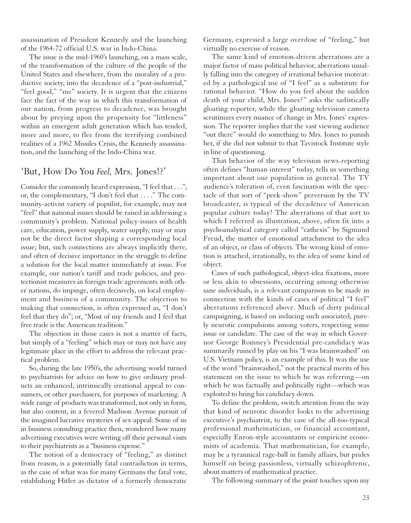assassination of President Kennedy and the launching of the 1964-72 official U.S. war in Indo-China.

The issue is the mid-1960's launching, on a mass scale, of the transformation of the culture of the people of the United States and elsewhere, from the morality of a productive society, into the decadence of a "post-industrial," "feel good," "me" society. It is urgent that the citizens face the fact of the way in which this transformation of our nation, from progress to decadence, was brought about by preying upon the propensity for "littleness" within an emergent adult generation which has tended, more and more, to flee from the terrifying combined realities of a 1962 Missiles Crisis, the Kennedy assassination, and the launching of the Indo-China war.

#### 'But, How Do You *Feel,* Mrs. Jones!?'

Consider the commonly heard expression, "I feel that . . ."; or, the complementary, "I don't feel that . . . ." The community-activist variety of populist, for example, may not "feel" that national issues should be raised in addressing a community's problem. National policy-issues of health care, education, power supply, water supply, may or may not be the direct factor shaping a corresponding local issue; but, such connections are always implicitly there, and often of decisive importance in the struggle to define a solution for the local matter immediately at issue. For example, our nation's tariff and trade policies, and protectionist measures in foreign trade agreements with other nations, do impinge, often decisively, on local employment and business of a community. The objection to making that connection, is often expressed as, "I don't feel that they do"; or, "Most of my friends and I feel that free trade is the American tradition."

The objection in those cases is not a matter of facts, but simply of a "feeling" which may or may not have any legitimate place in the effort to address the relevant practical problem.

So, during the late 1950's, the advertising world turned to psychiatrists for advice on how to give ordinary products an enhanced, intrinsically irrational appeal to consumers, or other purchasers, for purposes of marketing. A wide range of products was transformed, not only in form, but also content, in a fevered Madison Avenue pursuit of the imagined lucrative mysteries of sex-appeal. Some of us in business consulting practice then, wondered how many advertising executives were writing off their personal visits to their psychiatrists as a "business expense."

The notion of a democracy of "feeling," as distinct from reason, is a potentially fatal contradiction in terms, as the case of what was for many Germans the fatal vote, establishing Hitler as dictator of a formerly democratic

Germany, expressed a large overdose of "feeling," but virtually no exercise of reason.

The same kind of emotion-driven aberrations are a major factor of mass political behavior, aberrations usually falling into the category of irrational behavior motivated by a pathological use of "I feel" as a substitute for rational behavior. "How do you feel about the sudden death of your child, Mrs. Jones?" asks the sadistically gloating reporter, while the gloating television camera scrutinizes every nuance of change in Mrs. Jones' expression. The reporter implies that the vast viewing audience "out there" would do something to Mrs. Jones to punish her, if she did not submit to that Tavistock Institute style in line of questioning.

That behavior of the way television news-reporting often defines "human interest" today, tells us something important about our population in general. The TV audience's toleration of, even fascination with the spectacle of that sort of "peek-show" perversion by the TV broadcaster, is typical of the decadence of American popular culture today! The aberrations of that sort to which I referred as illustration, above, often fit into a psychoanalytical category called "cathexis" by Sigmund Freud, the matter of emotional attachment to the idea of an object, or class of objects. The wrong kind of emotion is attached, irrationally, to the idea of some kind of object.

Cases of such pathological, object-idea fixations, more or less akin to obsessions, occurring among otherwise sane individuals, is a relevant comparison to be made in connection with the kinds of cases of political "I feel" aberrations referenced above. Much of dirty political campaigning, is based on inducing such associated, purely neurotic compulsions among voters, respecting some issue or candidate. The case of the way in which Governor George Romney's Presidential pre-candidacy was summarily ruined by play on his "I was brainwashed" on U.S. Vietnam policy, is an example of this. It was the use of the word "brainwashed," not the practical merits of his statement on the issue to which he was referring—on which he was factually and politically right—which was exploited to bring his candidacy down.

To define the problem, switch attention from the way that kind of neurotic disorder looks to the advertising executive's psychiatrist, to the case of the all-too-typical professional mathematician, or financial accountant, especially Enron-style accountants or empiricist economists of academia. That mathematician, for example, may be a tyrannical rage-ball in family affairs, but prides himself on being passionless, virtually schizophrenic, about matters of mathematical practice.

The following summary of the point touches upon my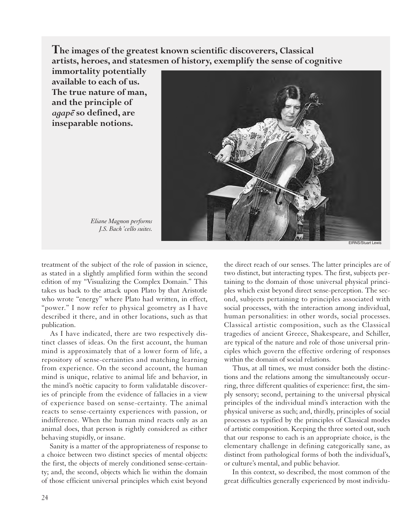**The images of the greatest known scientific discoverers, Classical artists, heroes, and statesmen of history, exemplify the sense of cognitive**

**immortality potentially available to each of us. The true nature of man, and the principle of** *agape¯* **so defined, are inseparable notions.**



*Eliane Magnon performs J.S. Bach 'cello suites.*

treatment of the subject of the role of passion in science, as stated in a slightly amplified form within the second edition of my "Visualizing the Complex Domain." This takes us back to the attack upon Plato by that Aristotle who wrote "energy" where Plato had written, in effect, "power." I now refer to physical geometry as I have described it there, and in other locations, such as that publication.

As I have indicated, there are two respectively distinct classes of ideas. On the first account, the human mind is approximately that of a lower form of life, a repository of sense-certainties and matching learning from experience. On the second account, the human mind is unique, relative to animal life and behavior, in the mind's noëtic capacity to form validatable discoveries of principle from the evidence of fallacies in a view of experience based on sense-certainty. The animal reacts to sense-certainty experiences with passion, or indifference. When the human mind reacts only as an animal does, that person is rightly considered as either behaving stupidly, or insane.

Sanity is a matter of the appropriateness of response to a choice between two distinct species of mental objects: the first, the objects of merely conditioned sense-certainty; and, the second, objects which lie within the domain of those efficient universal principles which exist beyond

the direct reach of our senses. The latter principles are of two distinct, but interacting types. The first, subjects pertaining to the domain of those universal physical principles which exist beyond direct sense-perception. The second, subjects pertaining to principles associated with social processes, with the interaction among individual, human personalities: in other words, social processes. Classical artistic composition, such as the Classical tragedies of ancient Greece, Shakespeare, and Schiller, are typical of the nature and role of those universal principles which govern the effective ordering of responses within the domain of social relations.

Thus, at all times, we must consider both the distinctions and the relations among the simultaneously occurring, three different qualities of experience: first, the simply sensory; second, pertaining to the universal physical principles of the individual mind's interaction with the physical universe as such; and, thirdly, principles of social processes as typified by the principles of Classical modes of artistic composition. Keeping the three sorted out, such that our response to each is an appropriate choice, is the elementary challenge in defining categorically sane, as distinct from pathological forms of both the individual's, or culture's mental, and public behavior.

In this context, so described, the most common of the great difficulties generally experienced by most individu